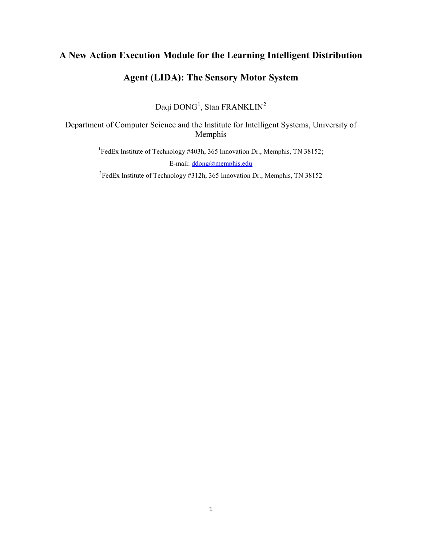# **A New Action Execution Module for the Learning Intelligent Distribution**

# **Agent (LIDA): The Sensory Motor System**

Daqi DONG<sup>1</sup>, Stan FRANKLIN<sup>2</sup>

Department of Computer Science and the Institute for Intelligent Systems, University of Memphis

> <sup>1</sup>FedEx Institute of Technology #403h, 365 Innovation Dr., Memphis, TN 38152; E-mail: [ddong@memphis.edu](mailto:ddong@memphis.edu)

> <sup>2</sup>FedEx Institute of Technology #312h, 365 Innovation Dr., Memphis, TN 38152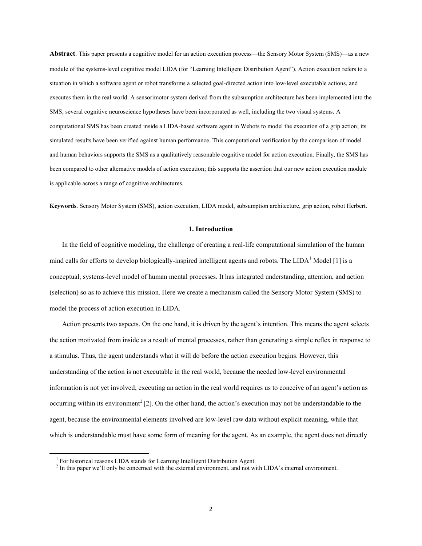**Abstract**. This paper presents a cognitive model for an action execution process—the Sensory Motor System (SMS)—as a new module of the systems-level cognitive model LIDA (for "Learning Intelligent Distribution Agent"). Action execution refers to a situation in which a software agent or robot transforms a selected goal-directed action into low-level executable actions, and executes them in the real world. A sensorimotor system derived from the subsumption architecture has been implemented into the SMS; several cognitive neuroscience hypotheses have been incorporated as well, including the two visual systems. A computational SMS has been created inside a LIDA-based software agent in Webots to model the execution of a grip action; its simulated results have been verified against human performance. This computational verification by the comparison of model and human behaviors supports the SMS as a qualitatively reasonable cognitive model for action execution. Finally, the SMS has been compared to other alternative models of action execution; this supports the assertion that our new action execution module is applicable across a range of cognitive architectures.

**Keywords**. Sensory Motor System (SMS), action execution, LIDA model, subsumption architecture, grip action, robot Herbert.

#### **1. Introduction**

In the field of cognitive modeling, the challenge of creating a real-life computational simulation of the human mind calls for efforts to develop biologically-inspired intelligent agents and robots. The LIDA<sup>1</sup> Model [\[1\]](#page-23-0) is a conceptual, systems-level model of human mental processes. It has integrated understanding, attention, and action (selection) so as to achieve this mission. Here we create a mechanism called the Sensory Motor System (SMS) to model the process of action execution in LIDA.

Action presents two aspects. On the one hand, it is driven by the agent's intention. This means the agent selects the action motivated from inside as a result of mental processes, rather than generating a simple reflex in response to a stimulus. Thus, the agent understands what it will do before the action execution begins. However, this understanding of the action is not executable in the real world, because the needed low-level environmental information is not yet involved; executing an action in the real world requires us to conceive of an agent's action as occurring within its environment<sup>2</sup> [\[2\]](#page-23-1). On the other hand, the action's execution may not be understandable to the agent, because the environmental elements involved are low-level raw data without explicit meaning, while that which is understandable must have some form of meaning for the agent. As an example, the agent does not directly

l

<sup>&</sup>lt;sup>1</sup> For historical reasons LIDA stands for Learning Intelligent Distribution Agent.

 $<sup>2</sup>$  In this paper we'll only be concerned with the external environment, and not with LIDA's internal environment.</sup>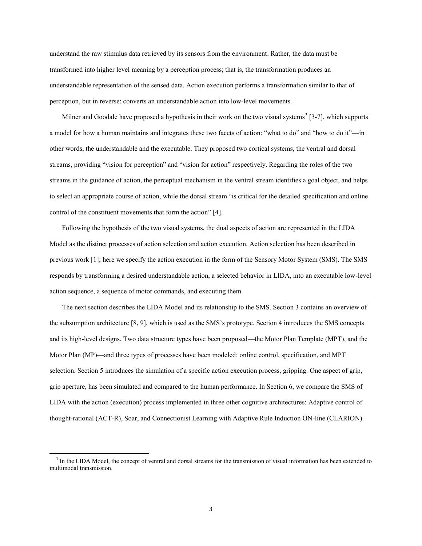understand the raw stimulus data retrieved by its sensors from the environment. Rather, the data must be transformed into higher level meaning by a perception process; that is, the transformation produces an understandable representation of the sensed data. Action execution performs a transformation similar to that of perception, but in reverse: converts an understandable action into low-level movements.

Milner and Goodale have proposed a hypothesis in their work on the two visual systems<sup>3</sup> [\[3-7\]](#page-23-2), which supports a model for how a human maintains and integrates these two facets of action: "what to do" and "how to do it"—in other words, the understandable and the executable. They proposed two cortical systems, the ventral and dorsal streams, providing "vision for perception" and "vision for action" respectively. Regarding the roles of the two streams in the guidance of action, the perceptual mechanism in the ventral stream identifies a goal object, and helps to select an appropriate course of action, while the dorsal stream "is critical for the detailed specification and online control of the constituent movements that form the action" [\[4\]](#page-23-3).

Following the hypothesis of the two visual systems, the dual aspects of action are represented in the LIDA Model as the distinct processes of action selection and action execution. Action selection has been described in previous work [\[1\]](#page-23-0); here we specify the action execution in the form of the Sensory Motor System (SMS). The SMS responds by transforming a desired understandable action, a selected behavior in LIDA, into an executable low-level action sequence, a sequence of motor commands, and executing them.

The next section describes the LIDA Model and its relationship to the SMS. Section 3 contains an overview of the subsumption architecture [\[8,](#page-23-4) [9\]](#page-23-5), which is used as the SMS's prototype. Section 4 introduces the SMS concepts and its high-level designs. Two data structure types have been proposed—the Motor Plan Template (MPT), and the Motor Plan (MP)—and three types of processes have been modeled: online control, specification, and MPT selection. Section 5 introduces the simulation of a specific action execution process, gripping. One aspect of grip, grip aperture, has been simulated and compared to the human performance. In Section 6, we compare the SMS of LIDA with the action (execution) process implemented in three other cognitive architectures: Adaptive control of thought-rational (ACT-R), Soar, and Connectionist Learning with Adaptive Rule Induction ON-line (CLARION).

l

<sup>&</sup>lt;sup>3</sup> In the LIDA Model, the concept of ventral and dorsal streams for the transmission of visual information has been extended to multimodal transmission.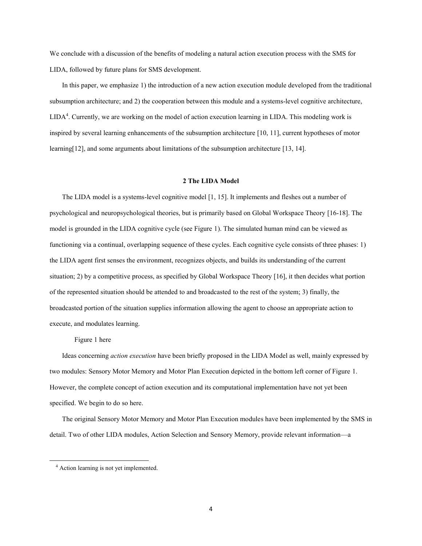We conclude with a discussion of the benefits of modeling a natural action execution process with the SMS for LIDA, followed by future plans for SMS development.

In this paper, we emphasize 1) the introduction of a new action execution module developed from the traditional subsumption architecture; and 2) the cooperation between this module and a systems-level cognitive architecture,  $LIDA<sup>4</sup>$ . Currently, we are working on the model of action execution learning in  $LIDA$ . This modeling work is inspired by several learning enhancements of the subsumption architecture [\[10,](#page-24-0) [11\]](#page-24-1), current hypotheses of motor learning[\[12\]](#page-24-2), and some arguments about limitations of the subsumption architecture [\[13,](#page-24-3) [14\]](#page-24-4).

#### **2 The LIDA Model**

The LIDA model is a systems-level cognitive model [\[1,](#page-23-0) [15\]](#page-24-5). It implements and fleshes out a number of psychological and neuropsychological theories, but is primarily based on Global Workspace Theory [\[16-18\]](#page-24-6). The model is grounded in the LIDA cognitive cycle (see Figure 1). The simulated human mind can be viewed as functioning via a continual, overlapping sequence of these cycles. Each cognitive cycle consists of three phases: 1) the LIDA agent first senses the environment, recognizes objects, and builds its understanding of the current situation; 2) by a competitive process, as specified by Global Workspace Theory [\[16\]](#page-24-6), it then decides what portion of the represented situation should be attended to and broadcasted to the rest of the system; 3) finally, the broadcasted portion of the situation supplies information allowing the agent to choose an appropriate action to execute, and modulates learning.

#### Figure 1 here

Ideas concerning *action execution* have been briefly proposed in the LIDA Model as well, mainly expressed by two modules: Sensory Motor Memory and Motor Plan Execution depicted in the bottom left corner of Figure 1. However, the complete concept of action execution and its computational implementation have not yet been specified. We begin to do so here.

The original Sensory Motor Memory and Motor Plan Execution modules have been implemented by the SMS in detail. Two of other LIDA modules, Action Selection and Sensory Memory, provide relevant information—a

 $\overline{\phantom{a}}$ 

<sup>4</sup> Action learning is not yet implemented.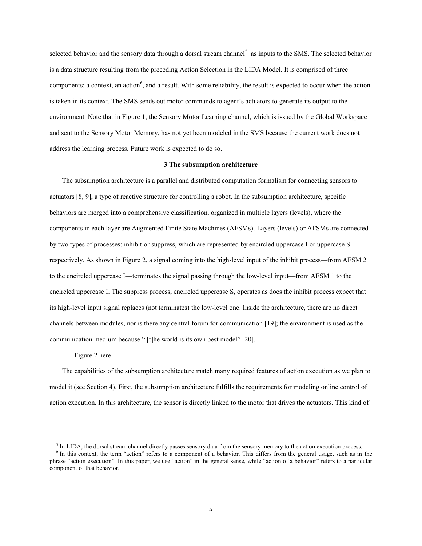selected behavior and the sensory data through a dorsal stream channel<sup>5</sup>-as inputs to the SMS. The selected behavior is a data structure resulting from the preceding Action Selection in the LIDA Model. It is comprised of three components: a context, an action  $6$ , and a result. With some reliability, the result is expected to occur when the action is taken in its context. The SMS sends out motor commands to agent's actuators to generate its output to the environment. Note that in Figure 1, the Sensory Motor Learning channel, which is issued by the Global Workspace and sent to the Sensory Motor Memory, has not yet been modeled in the SMS because the current work does not address the learning process. Future work is expected to do so.

## **3 The subsumption architecture**

The subsumption architecture is a parallel and distributed computation formalism for connecting sensors to actuators [\[8,](#page-23-4) [9\]](#page-23-5), a type of reactive structure for controlling a robot. In the subsumption architecture, specific behaviors are merged into a comprehensive classification, organized in multiple layers (levels), where the components in each layer are Augmented Finite State Machines (AFSMs). Layers (levels) or AFSMs are connected by two types of processes: inhibit or suppress, which are represented by encircled uppercase I or uppercase S respectively. As shown in Figure 2, a signal coming into the high-level input of the inhibit process—from AFSM 2 to the encircled uppercase I—terminates the signal passing through the low-level input—from AFSM 1 to the encircled uppercase I. The suppress process, encircled uppercase S, operates as does the inhibit process expect that its high-level input signal replaces (not terminates) the low-level one. Inside the architecture, there are no direct channels between modules, nor is there any central forum for communication [\[19\]](#page-24-7); the environment is used as the communication medium because " [t]he world is its own best model" [\[20\]](#page-24-8).

#### Figure 2 here

 $\overline{\phantom{a}}$ 

The capabilities of the subsumption architecture match many required features of action execution as we plan to model it (see Section 4). First, the subsumption architecture fulfills the requirements for modeling online control of action execution. In this architecture, the sensor is directly linked to the motor that drives the actuators. This kind of

 $<sup>5</sup>$  In LIDA, the dorsal stream channel directly passes sensory data from the sensory memory to the action execution process.</sup>

 $6$  In this context, the term "action" refers to a component of a behavior. This differs from the general usage, such as in the phrase "action execution". In this paper, we use "action" in the general sense, while "action of a behavior" refers to a particular component of that behavior.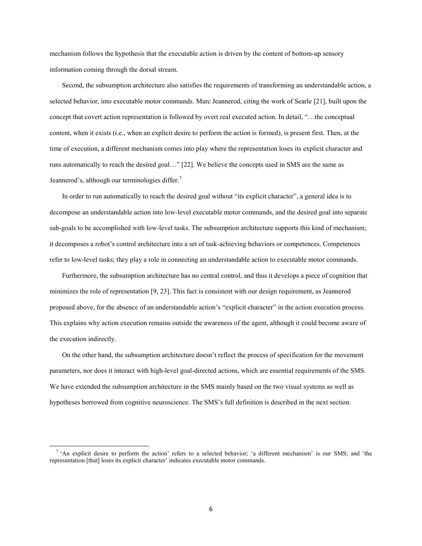mechanism follows the hypothesis that the executable action is driven by the content of bottom-up sensory information coming through the dorsal stream.

Second, the subsumption architecture also satisfies the requirements of transforming an understandable action, a selected behavior, into executable motor commands. Marc Jeannerod, citing the work of Searle [\[21\]](#page-24-9), built upon the concept that covert action representation is followed by overt real executed action. In detail, "...the conceptual content, when it exists (i.e., when an explicit desire to perform the action is formed), is present first. Then, at the time of execution, a different mechanism comes into play where the representation loses its explicit character and runs automatically to reach the desired goal..." [\[22\]](#page-24-10). We believe the concepts used in SMS are the same as Jeannerod's, although our terminologies differ.<sup>7</sup>

In order to run automatically to reach the desired goal without "its explicit character", a general idea is to decompose an understandable action into low-level executable motor commands, and the desired goal into separate sub-goals to be accomplished with low-level tasks. The subsumption architecture supports this kind of mechanism; it decomposes a robot's control architecture into a set of task-achieving behaviors or competences. Competences refer to low-level tasks; they play a role in connecting an understandable action to executable motor commands.

Furthermore, the subsumption architecture has no central control, and thus it develops a piece of cognition that minimizes the role of representation [\[9,](#page-23-5) [23\]](#page-24-11). This fact is consistent with our design requirement, as Jeannerod proposed above, for the absence of an understandable action's "explicit character" in the action execution process. This explains why action execution remains outside the awareness of the agent, although it could become aware of the execution indirectly.

On the other hand, the subsumption architecture doesn't reflect the process of specification for the movement parameters, nor does it interact with high-level goal-directed actions, which are essential requirements of the SMS. We have extended the subsumption architecture in the SMS mainly based on the two visual systems as well as hypotheses borrowed from cognitive neuroscience. The SMS's full definition is described in the next section.

 $\overline{\phantom{a}}$ 

 $<sup>7</sup>$  'An explicit desire to perform the action' refers to a selected behavior; 'a different mechanism' is our SMS; and 'the</sup> representation [that] loses its explicit character' indicates executable motor commands.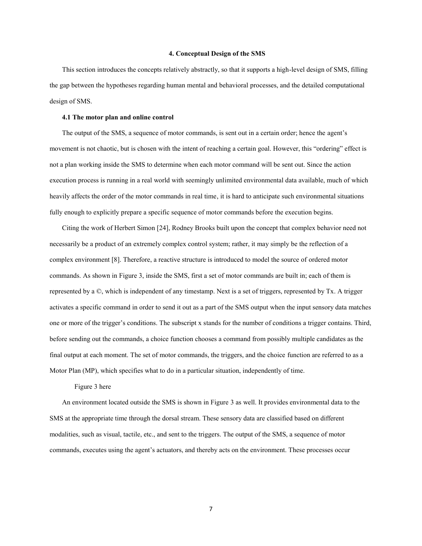#### **4. Conceptual Design of the SMS**

This section introduces the concepts relatively abstractly, so that it supports a high-level design of SMS, filling the gap between the hypotheses regarding human mental and behavioral processes, and the detailed computational design of SMS.

#### **4.1 The motor plan and online control**

The output of the SMS, a sequence of motor commands, is sent out in a certain order; hence the agent's movement is not chaotic, but is chosen with the intent of reaching a certain goal. However, this "ordering" effect is not a plan working inside the SMS to determine when each motor command will be sent out. Since the action execution process is running in a real world with seemingly unlimited environmental data available, much of which heavily affects the order of the motor commands in real time, it is hard to anticipate such environmental situations fully enough to explicitly prepare a specific sequence of motor commands before the execution begins.

Citing the work of Herbert Simon [\[24\]](#page-24-12), Rodney Brooks built upon the concept that complex behavior need not necessarily be a product of an extremely complex control system; rather, it may simply be the reflection of a complex environment [\[8\]](#page-23-4). Therefore, a reactive structure is introduced to model the source of ordered motor commands. As shown in Figure 3, inside the SMS, first a set of motor commands are built in; each of them is represented by a ©, which is independent of any timestamp. Next is a set of triggers, represented by Tx. A trigger activates a specific command in order to send it out as a part of the SMS output when the input sensory data matches one or more of the trigger's conditions. The subscript x stands for the number of conditions a trigger contains. Third, before sending out the commands, a choice function chooses a command from possibly multiple candidates as the final output at each moment. The set of motor commands, the triggers, and the choice function are referred to as a Motor Plan (MP), which specifies what to do in a particular situation, independently of time.

## Figure 3 here

An environment located outside the SMS is shown in Figure 3 as well. It provides environmental data to the SMS at the appropriate time through the dorsal stream. These sensory data are classified based on different modalities, such as visual, tactile, etc., and sent to the triggers. The output of the SMS, a sequence of motor commands, executes using the agent's actuators, and thereby acts on the environment. These processes occur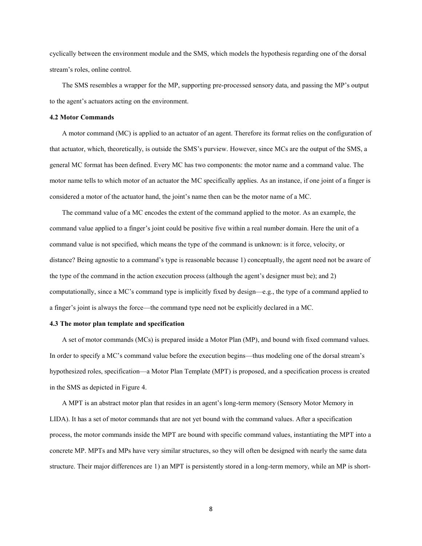cyclically between the environment module and the SMS, which models the hypothesis regarding one of the dorsal stream's roles, online control.

The SMS resembles a wrapper for the MP, supporting pre-processed sensory data, and passing the MP's output to the agent's actuators acting on the environment.

# **4.2 Motor Commands**

A motor command (MC) is applied to an actuator of an agent. Therefore its format relies on the configuration of that actuator, which, theoretically, is outside the SMS's purview. However, since MCs are the output of the SMS, a general MC format has been defined. Every MC has two components: the motor name and a command value. The motor name tells to which motor of an actuator the MC specifically applies. As an instance, if one joint of a finger is considered a motor of the actuator hand, the joint's name then can be the motor name of a MC.

The command value of a MC encodes the extent of the command applied to the motor. As an example, the command value applied to a finger's joint could be positive five within a real number domain. Here the unit of a command value is not specified, which means the type of the command is unknown: is it force, velocity, or distance? Being agnostic to a command's type is reasonable because 1) conceptually, the agent need not be aware of the type of the command in the action execution process (although the agent's designer must be); and 2) computationally, since a MC's command type is implicitly fixed by design—e.g., the type of a command applied to a finger's joint is always the force—the command type need not be explicitly declared in a MC.

#### **4.3 The motor plan template and specification**

A set of motor commands (MCs) is prepared inside a Motor Plan (MP), and bound with fixed command values. In order to specify a MC's command value before the execution begins—thus modeling one of the dorsal stream's hypothesized roles, specification—a Motor Plan Template (MPT) is proposed, and a specification process is created in the SMS as depicted in Figure 4.

A MPT is an abstract motor plan that resides in an agent's long-term memory (Sensory Motor Memory in LIDA). It has a set of motor commands that are not yet bound with the command values. After a specification process, the motor commands inside the MPT are bound with specific command values, instantiating the MPT into a concrete MP. MPTs and MPs have very similar structures, so they will often be designed with nearly the same data structure. Their major differences are 1) an MPT is persistently stored in a long-term memory, while an MP is short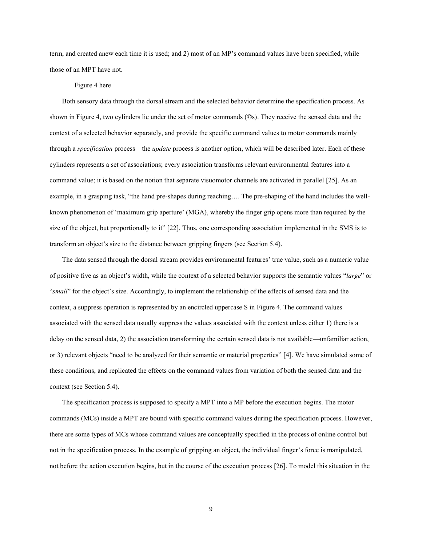term, and created anew each time it is used; and 2) most of an MP's command values have been specified, while those of an MPT have not.

#### Figure 4 here

Both sensory data through the dorsal stream and the selected behavior determine the specification process. As shown in Figure 4, two cylinders lie under the set of motor commands (©s). They receive the sensed data and the context of a selected behavior separately, and provide the specific command values to motor commands mainly through a *specification* process—the *update* process is another option, which will be described later. Each of these cylinders represents a set of associations; every association transforms relevant environmental features into a command value; it is based on the notion that separate visuomotor channels are activated in parallel [\[25\]](#page-24-13). As an example, in a grasping task, "the hand pre-shapes during reaching.... The pre-shaping of the hand includes the wellknown phenomenon of 'maximum grip aperture' (MGA), whereby the finger grip opens more than required by the size of the object, but proportionally to it" [\[22\]](#page-24-10). Thus, one corresponding association implemented in the SMS is to transform an object's size to the distance between gripping fingers (see Section 5.4).

The data sensed through the dorsal stream provides environmental features' true value, such as a numeric value of positive five as an object's width, while the context of a selected behavior supports the semantic values "large" or ―*small*‖ for the object's size. Accordingly, to implement the relationship of the effects of sensed data and the context, a suppress operation is represented by an encircled uppercase S in Figure 4. The command values associated with the sensed data usually suppress the values associated with the context unless either 1) there is a delay on the sensed data, 2) the association transforming the certain sensed data is not available—unfamiliar action, or 3) relevant objects "need to be analyzed for their semantic or material properties" [\[4\]](#page-23-3). We have simulated some of these conditions, and replicated the effects on the command values from variation of both the sensed data and the context (see Section 5.4).

The specification process is supposed to specify a MPT into a MP before the execution begins. The motor commands (MCs) inside a MPT are bound with specific command values during the specification process. However, there are some types of MCs whose command values are conceptually specified in the process of online control but not in the specification process. In the example of gripping an object, the individual finger's force is manipulated, not before the action execution begins, but in the course of the execution process [\[26\]](#page-24-14). To model this situation in the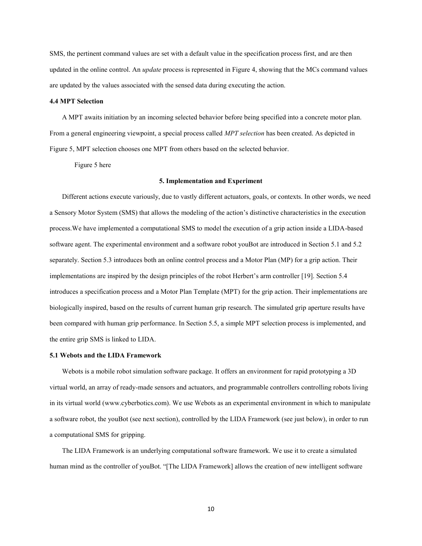SMS, the pertinent command values are set with a default value in the specification process first, and are then updated in the online control. An *update* process is represented in Figure 4, showing that the MCs command values are updated by the values associated with the sensed data during executing the action.

#### **4.4 MPT Selection**

A MPT awaits initiation by an incoming selected behavior before being specified into a concrete motor plan. From a general engineering viewpoint, a special process called *MPT selection* has been created. As depicted in Figure 5, MPT selection chooses one MPT from others based on the selected behavior.

Figure 5 here

## **5. Implementation and Experiment**

Different actions execute variously, due to vastly different actuators, goals, or contexts. In other words, we need a Sensory Motor System (SMS) that allows the modeling of the action's distinctive characteristics in the execution process.We have implemented a computational SMS to model the execution of a grip action inside a LIDA-based software agent. The experimental environment and a software robot youBot are introduced in Section 5.1 and 5.2 separately. Section 5.3 introduces both an online control process and a Motor Plan (MP) for a grip action. Their implementations are inspired by the design principles of the robot Herbert's arm controller [\[19\]](#page-24-7). Section 5.4 introduces a specification process and a Motor Plan Template (MPT) for the grip action. Their implementations are biologically inspired, based on the results of current human grip research. The simulated grip aperture results have been compared with human grip performance. In Section 5.5, a simple MPT selection process is implemented, and the entire grip SMS is linked to LIDA.

#### **5.1 Webots and the LIDA Framework**

Webots is a mobile robot simulation software package. It offers an environment for rapid prototyping a 3D virtual world, an array of ready-made sensors and actuators, and programmable controllers controlling robots living in its virtual world (www.cyberbotics.com). We use Webots as an experimental environment in which to manipulate a software robot, the youBot (see next section), controlled by the LIDA Framework (see just below), in order to run a computational SMS for gripping.

The LIDA Framework is an underlying computational software framework. We use it to create a simulated human mind as the controller of youBot. "[The LIDA Framework] allows the creation of new intelligent software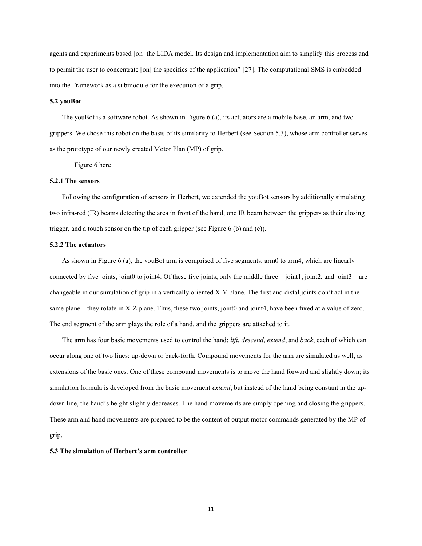agents and experiments based [on] the LIDA model. Its design and implementation aim to simplify this process and to permit the user to concentrate [on] the specifics of the application" [\[27\]](#page-24-15). The computational SMS is embedded into the Framework as a submodule for the execution of a grip.

#### **5.2 youBot**

The youBot is a software robot. As shown in Figure 6 (a), its actuators are a mobile base, an arm, and two grippers. We chose this robot on the basis of its similarity to Herbert (see Section 5.3), whose arm controller serves as the prototype of our newly created Motor Plan (MP) of grip.

Figure 6 here

## **5.2.1 The sensors**

Following the configuration of sensors in Herbert, we extended the youBot sensors by additionally simulating two infra-red (IR) beams detecting the area in front of the hand, one IR beam between the grippers as their closing trigger, and a touch sensor on the tip of each gripper (see Figure 6 (b) and (c)).

#### **5.2.2 The actuators**

As shown in Figure 6 (a), the youBot arm is comprised of five segments, arm0 to arm4, which are linearly connected by five joints, joint0 to joint4. Of these five joints, only the middle three—joint1, joint2, and joint3—are changeable in our simulation of grip in a vertically oriented X-Y plane. The first and distal joints don't act in the same plane—they rotate in X-Z plane. Thus, these two joints, joint0 and joint4, have been fixed at a value of zero. The end segment of the arm plays the role of a hand, and the grippers are attached to it.

The arm has four basic movements used to control the hand: *lift*, *descend*, *extend*, and *back*, each of which can occur along one of two lines: up-down or back-forth. Compound movements for the arm are simulated as well, as extensions of the basic ones. One of these compound movements is to move the hand forward and slightly down; its simulation formula is developed from the basic movement *extend*, but instead of the hand being constant in the updown line, the hand's height slightly decreases. The hand movements are simply opening and closing the grippers. These arm and hand movements are prepared to be the content of output motor commands generated by the MP of grip.

#### **5.3 The simulation of Herbert's arm controller**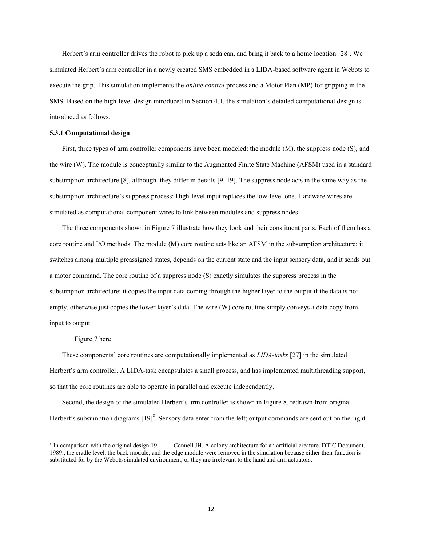Herbert's arm controller drives the robot to pick up a soda can, and bring it back to a home location [\[28\]](#page-24-16). We simulated Herbert's arm controller in a newly created SMS embedded in a LIDA-based software agent in Webots to execute the grip. This simulation implements the *online control* process and a Motor Plan (MP) for gripping in the SMS. Based on the high-level design introduced in Section 4.1, the simulation's detailed computational design is introduced as follows.

## **5.3.1 Computational design**

First, three types of arm controller components have been modeled: the module (M), the suppress node (S), and the wire (W). The module is conceptually similar to the Augmented Finite State Machine (AFSM) used in a standard subsumption architecture [\[8\]](#page-23-4), although they differ in details [\[9,](#page-23-5) [19\]](#page-24-7). The suppress node acts in the same way as the subsumption architecture's suppress process: High-level input replaces the low-level one. Hardware wires are simulated as computational component wires to link between modules and suppress nodes.

The three components shown in Figure 7 illustrate how they look and their constituent parts. Each of them has a core routine and I/O methods. The module (M) core routine acts like an AFSM in the subsumption architecture: it switches among multiple preassigned states, depends on the current state and the input sensory data, and it sends out a motor command. The core routine of a suppress node (S) exactly simulates the suppress process in the subsumption architecture: it copies the input data coming through the higher layer to the output if the data is not empty, otherwise just copies the lower layer's data. The wire (W) core routine simply conveys a data copy from input to output.

#### Figure 7 here

l

These components' core routines are computationally implemented as *LIDA-tasks* [\[27\]](#page-24-15) in the simulated Herbert's arm controller. A LIDA-task encapsulates a small process, and has implemented multithreading support, so that the core routines are able to operate in parallel and execute independently.

Second, the design of the simulated Herbert's arm controller is shown in Figure 8, redrawn from original Herbert's subsumption diagrams  $[19]$ <sup>8</sup>. Sensory data enter from the left; output commands are sent out on the right.

<sup>&</sup>lt;sup>8</sup> In comparison with the original design 19. Connell JH. A colony architecture for an artificial creature. DTIC Document, 1989., the cradle level, the back module, and the edge module were removed in the simulation because either their function is substituted for by the Webots simulated environment, or they are irrelevant to the hand and arm actuators.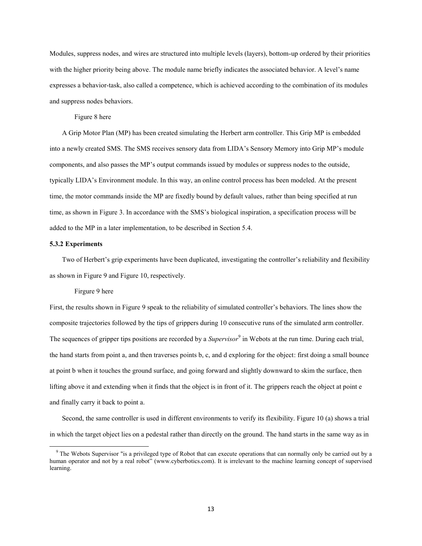Modules, suppress nodes, and wires are structured into multiple levels (layers), bottom-up ordered by their priorities with the higher priority being above. The module name briefly indicates the associated behavior. A level's name expresses a behavior-task, also called a competence, which is achieved according to the combination of its modules and suppress nodes behaviors.

## Figure 8 here

A Grip Motor Plan (MP) has been created simulating the Herbert arm controller. This Grip MP is embedded into a newly created SMS. The SMS receives sensory data from LIDA's Sensory Memory into Grip MP's module components, and also passes the MP's output commands issued by modules or suppress nodes to the outside, typically LIDA's Environment module. In this way, an online control process has been modeled. At the present time, the motor commands inside the MP are fixedly bound by default values, rather than being specified at run time, as shown in Figure 3. In accordance with the SMS's biological inspiration, a specification process will be added to the MP in a later implementation, to be described in Section 5.4.

## **5.3.2 Experiments**

l

Two of Herbert's grip experiments have been duplicated, investigating the controller's reliability and flexibility as shown in Figure 9 and Figure 10, respectively.

## Firgure 9 here

First, the results shown in Figure 9 speak to the reliability of simulated controller's behaviors. The lines show the composite trajectories followed by the tips of grippers during 10 consecutive runs of the simulated arm controller. The sequences of gripper tips positions are recorded by a *Supervisor*<sup>9</sup> in Webots at the run time. During each trial, the hand starts from point a, and then traverses points b, c, and d exploring for the object: first doing a small bounce at point b when it touches the ground surface, and going forward and slightly downward to skim the surface, then lifting above it and extending when it finds that the object is in front of it. The grippers reach the object at point e and finally carry it back to point a.

Second, the same controller is used in different environments to verify its flexibility. Figure 10 (a) shows a trial in which the target object lies on a pedestal rather than directly on the ground. The hand starts in the same way as in

<sup>&</sup>lt;sup>9</sup> The Webots Supervisor "is a privileged type of Robot that can execute operations that can normally only be carried out by a human operator and not by a real robot" (www.cyberbotics.com). It is irrelevant to the machine learning concept of supervised learning.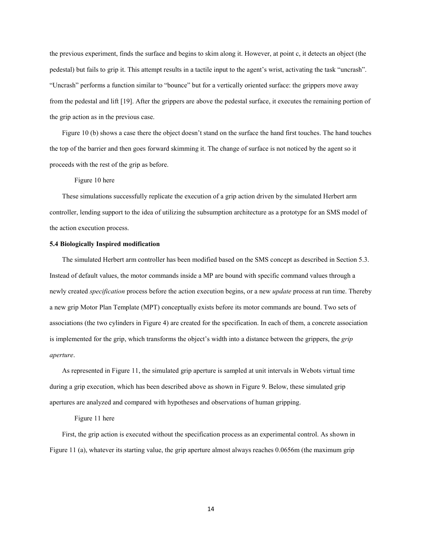the previous experiment, finds the surface and begins to skim along it. However, at point c, it detects an object (the pedestal) but fails to grip it. This attempt results in a tactile input to the agent's wrist, activating the task "uncrash". "Uncrash" performs a function similar to "bounce" but for a vertically oriented surface: the grippers move away from the pedestal and lift [\[19\]](#page-24-7). After the grippers are above the pedestal surface, it executes the remaining portion of the grip action as in the previous case.

Figure 10 (b) shows a case there the object doesn't stand on the surface the hand first touches. The hand touches the top of the barrier and then goes forward skimming it. The change of surface is not noticed by the agent so it proceeds with the rest of the grip as before.

Figure 10 here

These simulations successfully replicate the execution of a grip action driven by the simulated Herbert arm controller, lending support to the idea of utilizing the subsumption architecture as a prototype for an SMS model of the action execution process.

## **5.4 Biologically Inspired modification**

The simulated Herbert arm controller has been modified based on the SMS concept as described in Section 5.3. Instead of default values, the motor commands inside a MP are bound with specific command values through a newly created *specification* process before the action execution begins, or a new *update* process at run time. Thereby a new grip Motor Plan Template (MPT) conceptually exists before its motor commands are bound. Two sets of associations (the two cylinders in Figure 4) are created for the specification. In each of them, a concrete association is implemented for the grip, which transforms the object's width into a distance between the grippers, the *grip aperture*.

As represented in Figure 11, the simulated grip aperture is sampled at unit intervals in Webots virtual time during a grip execution, which has been described above as shown in Figure 9. Below, these simulated grip apertures are analyzed and compared with hypotheses and observations of human gripping.

### Figure 11 here

First, the grip action is executed without the specification process as an experimental control. As shown in Figure 11 (a), whatever its starting value, the grip aperture almost always reaches 0.0656m (the maximum grip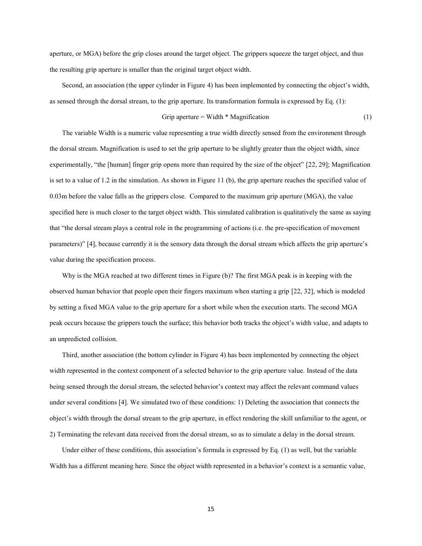aperture, or MGA) before the grip closes around the target object. The grippers squeeze the target object, and thus the resulting grip aperture is smaller than the original target object width.

Second, an association (the upper cylinder in Figure 4) has been implemented by connecting the object's width, as sensed through the dorsal stream, to the grip aperture. Its transformation formula is expressed by Eq. (1):

$$
Grip aperture = Width * Magnification
$$
\n
$$
(1)
$$

The variable Width is a numeric value representing a true width directly sensed from the environment through the dorsal stream. Magnification is used to set the grip aperture to be slightly greater than the object width, since experimentally, "the [human] finger grip opens more than required by the size of the object"  $[22, 29]$  $[22, 29]$ ; Magnification is set to a value of 1.2 in the simulation. As shown in Figure 11 (b), the grip aperture reaches the specified value of 0.03m before the value falls as the grippers close. Compared to the maximum grip aperture (MGA), the value specified here is much closer to the target object width. This simulated calibration is qualitatively the same as saying that "the dorsal stream plays a central role in the programming of actions (i.e. the pre-specification of movement parameters)‖ [\[4\]](#page-23-3), because currently it is the sensory data through the dorsal stream which affects the grip aperture's value during the specification process.

Why is the MGA reached at two different times in Figure (b)? The first MGA peak is in keeping with the observed human behavior that people open their fingers maximum when starting a grip [\[22,](#page-24-10) [32\]](#page-25-0), which is modeled by setting a fixed MGA value to the grip aperture for a short while when the execution starts. The second MGA peak occurs because the grippers touch the surface; this behavior both tracks the object's width value, and adapts to an unpredicted collision.

Third, another association (the bottom cylinder in Figure 4) has been implemented by connecting the object width represented in the context component of a selected behavior to the grip aperture value. Instead of the data being sensed through the dorsal stream, the selected behavior's context may affect the relevant command values under several conditions [\[4\]](#page-23-3). We simulated two of these conditions: 1) Deleting the association that connects the object's width through the dorsal stream to the grip aperture, in effect rendering the skill unfamiliar to the agent, or 2) Terminating the relevant data received from the dorsal stream, so as to simulate a delay in the dorsal stream.

Under either of these conditions, this association's formula is expressed by Eq. (1) as well, but the variable Width has a different meaning here. Since the object width represented in a behavior's context is a semantic value,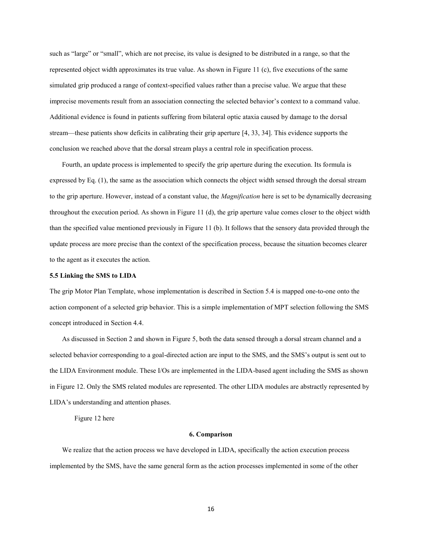such as "large" or "small", which are not precise, its value is designed to be distributed in a range, so that the represented object width approximates its true value. As shown in Figure 11 (c), five executions of the same simulated grip produced a range of context-specified values rather than a precise value. We argue that these imprecise movements result from an association connecting the selected behavior's context to a command value. Additional evidence is found in patients suffering from bilateral optic ataxia caused by damage to the dorsal stream—these patients show deficits in calibrating their grip aperture [\[4,](#page-23-3) [33,](#page-25-1) [34\]](#page-25-2). This evidence supports the conclusion we reached above that the dorsal stream plays a central role in specification process.

Fourth, an update process is implemented to specify the grip aperture during the execution. Its formula is expressed by Eq. (1), the same as the association which connects the object width sensed through the dorsal stream to the grip aperture. However, instead of a constant value, the *Magnification* here is set to be dynamically decreasing throughout the execution period. As shown in Figure 11 (d), the grip aperture value comes closer to the object width than the specified value mentioned previously in Figure 11 (b). It follows that the sensory data provided through the update process are more precise than the context of the specification process, because the situation becomes clearer to the agent as it executes the action.

## **5.5 Linking the SMS to LIDA**

The grip Motor Plan Template, whose implementation is described in Section 5.4 is mapped one-to-one onto the action component of a selected grip behavior. This is a simple implementation of MPT selection following the SMS concept introduced in Section 4.4.

As discussed in Section 2 and shown in Figure 5, both the data sensed through a dorsal stream channel and a selected behavior corresponding to a goal-directed action are input to the SMS, and the SMS's output is sent out to the LIDA Environment module. These I/Os are implemented in the LIDA-based agent including the SMS as shown in Figure 12. Only the SMS related modules are represented. The other LIDA modules are abstractly represented by LIDA's understanding and attention phases.

Figure 12 here

## **6. Comparison**

We realize that the action process we have developed in LIDA, specifically the action execution process implemented by the SMS, have the same general form as the action processes implemented in some of the other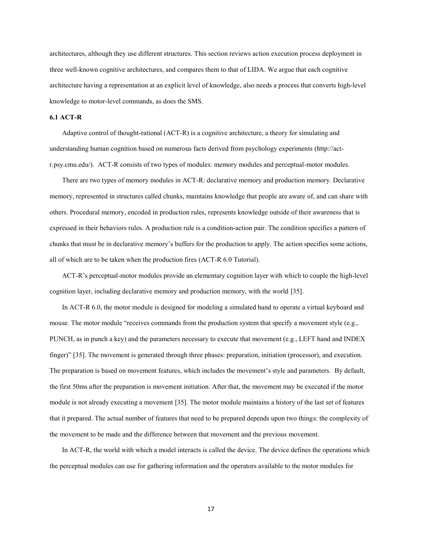architectures, although they use different structures. This section reviews action execution process deployment in three well-known cognitive architectures, and compares them to that of LIDA. We argue that each cognitive architecture having a representation at an explicit level of knowledge, also needs a process that converts high-level knowledge to motor-level commands, as does the SMS.

# **6.1 ACT-R**

Adaptive control of thought-rational (ACT-R) is a cognitive architecture, a theory for simulating and understanding human cognition based on numerous facts derived from psychology experiments (http://actr.psy.cmu.edu/). ACT-R consists of two types of modules: memory modules and perceptual-motor modules.

There are two types of memory modules in ACT-R: declarative memory and production memory. Declarative memory, represented in structures called chunks, maintains knowledge that people are aware of, and can share with others. Procedural memory, encoded in production rules, represents knowledge outside of their awareness that is expressed in their behaviors rules. A production rule is a condition-action pair. The condition specifies a pattern of chunks that must be in declarative memory's buffers for the production to apply. The action specifies some actions, all of which are to be taken when the production fires (ACT-R 6.0 Tutorial).

ACT-R's perceptual-motor modules provide an elementary cognition layer with which to couple the high-level cognition layer, including declarative memory and production memory, with the world [\[35\]](#page-25-3).

In ACT-R 6.0, the motor module is designed for modeling a simulated hand to operate a virtual keyboard and mouse. The motor module "receives commands from the production system that specify a movement style (e.g., PUNCH, as in punch a key) and the parameters necessary to execute that movement (e.g., LEFT hand and INDEX finger)" [\[35\]](#page-25-3). The movement is generated through three phases: preparation, initiation (processor), and execution. The preparation is based on movement features, which includes the movement's style and parameters. By default, the first 50ms after the preparation is movement initiation. After that, the movement may be executed if the motor module is not already executing a movement [\[35\]](#page-25-3). The motor module maintains a history of the last set of features that it prepared. The actual number of features that need to be prepared depends upon two things: the complexity of the movement to be made and the difference between that movement and the previous movement.

In ACT-R, the world with which a model interacts is called the device. The device defines the operations which the perceptual modules can use for gathering information and the operators available to the motor modules for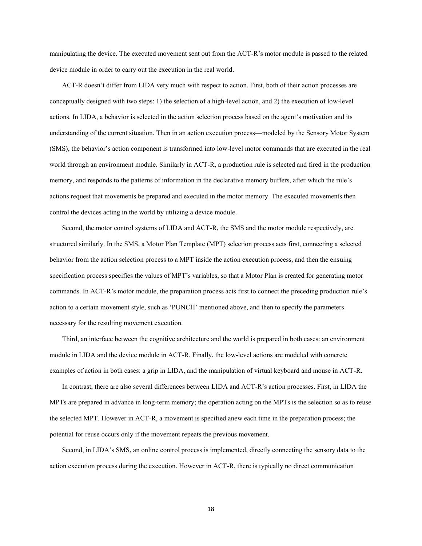manipulating the device. The executed movement sent out from the ACT-R's motor module is passed to the related device module in order to carry out the execution in the real world.

ACT-R doesn't differ from LIDA very much with respect to action. First, both of their action processes are conceptually designed with two steps: 1) the selection of a high-level action, and 2) the execution of low-level actions. In LIDA, a behavior is selected in the action selection process based on the agent's motivation and its understanding of the current situation. Then in an action execution process—modeled by the Sensory Motor System (SMS), the behavior's action component is transformed into low-level motor commands that are executed in the real world through an environment module. Similarly in ACT-R, a production rule is selected and fired in the production memory, and responds to the patterns of information in the declarative memory buffers, after which the rule's actions request that movements be prepared and executed in the motor memory. The executed movements then control the devices acting in the world by utilizing a device module.

Second, the motor control systems of LIDA and ACT-R, the SMS and the motor module respectively, are structured similarly. In the SMS, a Motor Plan Template (MPT) selection process acts first, connecting a selected behavior from the action selection process to a MPT inside the action execution process, and then the ensuing specification process specifies the values of MPT's variables, so that a Motor Plan is created for generating motor commands. In ACT-R's motor module, the preparation process acts first to connect the preceding production rule's action to a certain movement style, such as 'PUNCH' mentioned above, and then to specify the parameters necessary for the resulting movement execution.

Third, an interface between the cognitive architecture and the world is prepared in both cases: an environment module in LIDA and the device module in ACT-R. Finally, the low-level actions are modeled with concrete examples of action in both cases: a grip in LIDA, and the manipulation of virtual keyboard and mouse in ACT-R.

In contrast, there are also several differences between LIDA and ACT-R's action processes. First, in LIDA the MPTs are prepared in advance in long-term memory; the operation acting on the MPTs is the selection so as to reuse the selected MPT. However in ACT-R, a movement is specified anew each time in the preparation process; the potential for reuse occurs only if the movement repeats the previous movement.

Second, in LIDA's SMS, an online control process is implemented, directly connecting the sensory data to the action execution process during the execution. However in ACT-R, there is typically no direct communication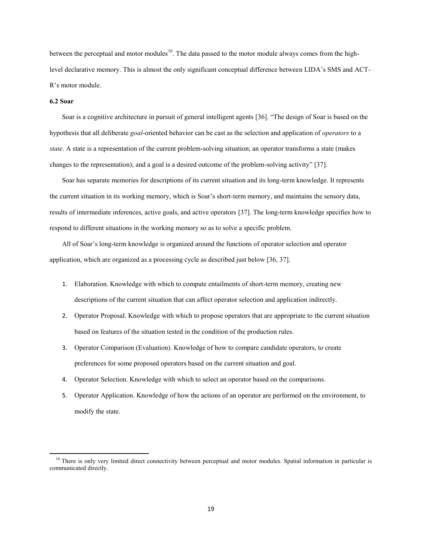between the perceptual and motor modules<sup>10</sup>. The data passed to the motor module always comes from the highlevel declarative memory. This is almost the only significant conceptual difference between LIDA's SMS and ACT-R's motor module.

## **6.2 Soar**

l

Soar is a cognitive architecture in pursuit of general intelligent agents [\[36\]](#page-25-4). "The design of Soar is based on the hypothesis that all deliberate *goal*-oriented behavior can be cast as the selection and application of *operators* to a *state*. A state is a representation of the current problem-solving situation; an operator transforms a state (makes changes to the representation); and a goal is a desired outcome of the problem-solving activity" [\[37\]](#page-25-5).

Soar has separate memories for descriptions of its current situation and its long-term knowledge. It represents the current situation in its working memory, which is Soar's short-term memory, and maintains the sensory data, results of intermediate inferences, active goals, and active operators [\[37\]](#page-25-5). The long-term knowledge specifies how to respond to different situations in the working memory so as to solve a specific problem.

All of Soar's long-term knowledge is organized around the functions of operator selection and operator application, which are organized as a processing cycle as described just below [\[36,](#page-25-4) [37\]](#page-25-5).

- 1. Elaboration. Knowledge with which to compute entailments of short-term memory, creating new descriptions of the current situation that can affect operator selection and application indirectly.
- 2. Operator Proposal. Knowledge with which to propose operators that are appropriate to the current situation based on features of the situation tested in the condition of the production rules.
- 3. Operator Comparison (Evaluation). Knowledge of how to compare candidate operators, to create preferences for some proposed operators based on the current situation and goal.
- 4. Operator Selection. Knowledge with which to select an operator based on the comparisons.
- 5. Operator Application. Knowledge of how the actions of an operator are performed on the environment, to modify the state.

 $10$  There is only very limited direct connectivity between perceptual and motor modules. Spatial information in particular is communicated directly.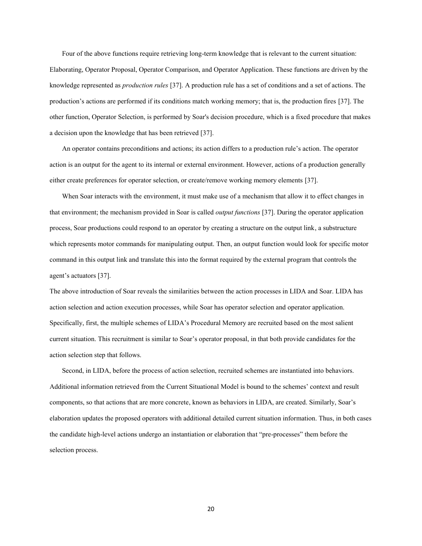Four of the above functions require retrieving long-term knowledge that is relevant to the current situation: Elaborating, Operator Proposal, Operator Comparison, and Operator Application. These functions are driven by the knowledge represented as *production rules* [\[37\]](#page-25-5). A production rule has a set of conditions and a set of actions. The production's actions are performed if its conditions match working memory; that is, the production fires [\[37\]](#page-25-5). The other function, Operator Selection, is performed by Soar's decision procedure, which is a fixed procedure that makes a decision upon the knowledge that has been retrieved [\[37\]](#page-25-5).

An operator contains preconditions and actions; its action differs to a production rule's action. The operator action is an output for the agent to its internal or external environment. However, actions of a production generally either create preferences for operator selection, or create/remove working memory elements [\[37\]](#page-25-5).

When Soar interacts with the environment, it must make use of a mechanism that allow it to effect changes in that environment; the mechanism provided in Soar is called *output functions* [\[37\]](#page-25-5). During the operator application process, Soar productions could respond to an operator by creating a structure on the output link, a substructure which represents motor commands for manipulating output. Then, an output function would look for specific motor command in this output link and translate this into the format required by the external program that controls the agent's actuators [\[37\]](#page-25-5).

The above introduction of Soar reveals the similarities between the action processes in LIDA and Soar. LIDA has action selection and action execution processes, while Soar has operator selection and operator application. Specifically, first, the multiple schemes of LIDA's Procedural Memory are recruited based on the most salient current situation. This recruitment is similar to Soar's operator proposal, in that both provide candidates for the action selection step that follows.

Second, in LIDA, before the process of action selection, recruited schemes are instantiated into behaviors. Additional information retrieved from the Current Situational Model is bound to the schemes' context and result components, so that actions that are more concrete, known as behaviors in LIDA, are created. Similarly, Soar's elaboration updates the proposed operators with additional detailed current situation information. Thus, in both cases the candidate high-level actions undergo an instantiation or elaboration that "pre-processes" them before the selection process.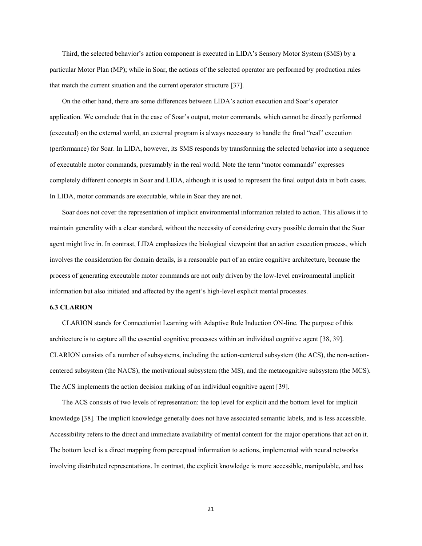Third, the selected behavior's action component is executed in LIDA's Sensory Motor System (SMS) by a particular Motor Plan (MP); while in Soar, the actions of the selected operator are performed by production rules that match the current situation and the current operator structure [\[37\]](#page-25-5).

On the other hand, there are some differences between LIDA's action execution and Soar's operator application. We conclude that in the case of Soar's output, motor commands, which cannot be directly performed (executed) on the external world, an external program is always necessary to handle the final "real" execution (performance) for Soar. In LIDA, however, its SMS responds by transforming the selected behavior into a sequence of executable motor commands, presumably in the real world. Note the term "motor commands" expresses completely different concepts in Soar and LIDA, although it is used to represent the final output data in both cases. In LIDA, motor commands are executable, while in Soar they are not.

Soar does not cover the representation of implicit environmental information related to action. This allows it to maintain generality with a clear standard, without the necessity of considering every possible domain that the Soar agent might live in. In contrast, LIDA emphasizes the biological viewpoint that an action execution process, which involves the consideration for domain details, is a reasonable part of an entire cognitive architecture, because the process of generating executable motor commands are not only driven by the low-level environmental implicit information but also initiated and affected by the agent's high-level explicit mental processes.

### **6.3 CLARION**

CLARION stands for Connectionist Learning with Adaptive Rule Induction ON-line. The purpose of this architecture is to capture all the essential cognitive processes within an individual cognitive agent [\[38,](#page-25-6) [39\]](#page-25-7). CLARION consists of a number of subsystems, including the action-centered subsystem (the ACS), the non-actioncentered subsystem (the NACS), the motivational subsystem (the MS), and the metacognitive subsystem (the MCS). The ACS implements the action decision making of an individual cognitive agent [\[39\]](#page-25-7).

The ACS consists of two levels of representation: the top level for explicit and the bottom level for implicit knowledge [\[38\]](#page-25-6). The implicit knowledge generally does not have associated semantic labels, and is less accessible. Accessibility refers to the direct and immediate availability of mental content for the major operations that act on it. The bottom level is a direct mapping from perceptual information to actions, implemented with neural networks involving distributed representations. In contrast, the explicit knowledge is more accessible, manipulable, and has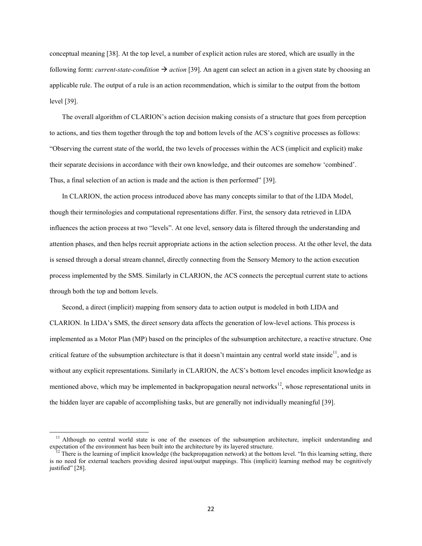conceptual meaning [\[38\]](#page-25-6). At the top level, a number of explicit action rules are stored, which are usually in the following form: *current-state-condition*  $\rightarrow$  *action* [\[39\]](#page-25-7). An agent can select an action in a given state by choosing an applicable rule. The output of a rule is an action recommendation, which is similar to the output from the bottom level [\[39\]](#page-25-7).

The overall algorithm of CLARION's action decision making consists of a structure that goes from perception to actions, and ties them together through the top and bottom levels of the ACS's cognitive processes as follows: ―Observing the current state of the world, the two levels of processes within the ACS (implicit and explicit) make their separate decisions in accordance with their own knowledge, and their outcomes are somehow ‗combined'. Thus, a final selection of an action is made and the action is then performed" [\[39\]](#page-25-7).

In CLARION, the action process introduced above has many concepts similar to that of the LIDA Model, though their terminologies and computational representations differ. First, the sensory data retrieved in LIDA influences the action process at two "levels". At one level, sensory data is filtered through the understanding and attention phases, and then helps recruit appropriate actions in the action selection process. At the other level, the data is sensed through a dorsal stream channel, directly connecting from the Sensory Memory to the action execution process implemented by the SMS. Similarly in CLARION, the ACS connects the perceptual current state to actions through both the top and bottom levels.

Second, a direct (implicit) mapping from sensory data to action output is modeled in both LIDA and CLARION. In LIDA's SMS, the direct sensory data affects the generation of low-level actions. This process is implemented as a Motor Plan (MP) based on the principles of the subsumption architecture, a reactive structure. One critical feature of the subsumption architecture is that it doesn't maintain any central world state inside<sup>11</sup>, and is without any explicit representations. Similarly in CLARION, the ACS's bottom level encodes implicit knowledge as mentioned above, which may be implemented in backpropagation neural networks<sup>12</sup>, whose representational units in the hidden layer are capable of accomplishing tasks, but are generally not individually meaningful [\[39\]](#page-25-7).

l

 $11$  Although no central world state is one of the essences of the subsumption architecture, implicit understanding and expectation of the environment has been built into the architecture by its layered structure.

There is the learning of implicit knowledge (the backpropagation network) at the bottom level. "In this learning setting, there is no need for external teachers providing desired input/output mappings. This (implicit) learning method may be cognitively iustified" [28].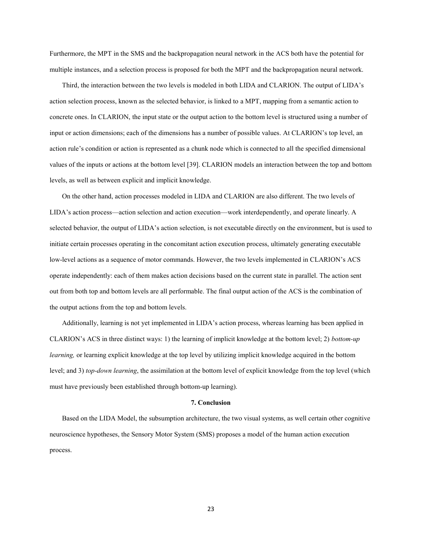Furthermore, the MPT in the SMS and the backpropagation neural network in the ACS both have the potential for multiple instances, and a selection process is proposed for both the MPT and the backpropagation neural network.

Third, the interaction between the two levels is modeled in both LIDA and CLARION. The output of LIDA's action selection process, known as the selected behavior, is linked to a MPT, mapping from a semantic action to concrete ones. In CLARION, the input state or the output action to the bottom level is structured using a number of input or action dimensions; each of the dimensions has a number of possible values. At CLARION's top level, an action rule's condition or action is represented as a chunk node which is connected to all the specified dimensional values of the inputs or actions at the bottom level [\[39\]](#page-25-7). CLARION models an interaction between the top and bottom levels, as well as between explicit and implicit knowledge.

On the other hand, action processes modeled in LIDA and CLARION are also different. The two levels of LIDA's action process—action selection and action execution—work interdependently, and operate linearly. A selected behavior, the output of LIDA's action selection, is not executable directly on the environment, but is used to initiate certain processes operating in the concomitant action execution process, ultimately generating executable low-level actions as a sequence of motor commands. However, the two levels implemented in CLARION's ACS operate independently: each of them makes action decisions based on the current state in parallel. The action sent out from both top and bottom levels are all performable. The final output action of the ACS is the combination of the output actions from the top and bottom levels.

Additionally, learning is not yet implemented in LIDA's action process, whereas learning has been applied in CLARION's ACS in three distinct ways: 1) the learning of implicit knowledge at the bottom level; 2) *bottom-up learning,* or learning explicit knowledge at the top level by utilizing implicit knowledge acquired in the bottom level; and 3) *top-down learning*, the assimilation at the bottom level of explicit knowledge from the top level (which must have previously been established through bottom-up learning).

## **7. Conclusion**

Based on the LIDA Model, the subsumption architecture, the two visual systems, as well certain other cognitive neuroscience hypotheses, the Sensory Motor System (SMS) proposes a model of the human action execution process.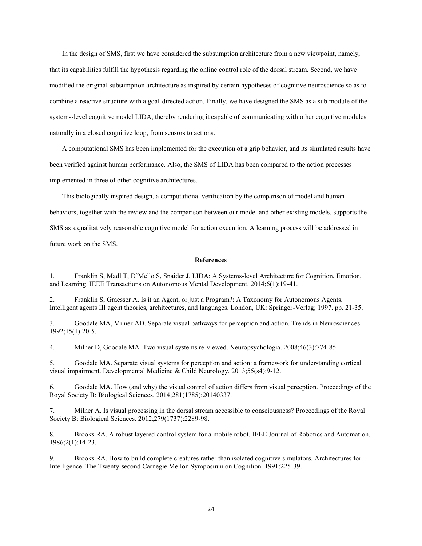In the design of SMS, first we have considered the subsumption architecture from a new viewpoint, namely, that its capabilities fulfill the hypothesis regarding the online control role of the dorsal stream. Second, we have modified the original subsumption architecture as inspired by certain hypotheses of cognitive neuroscience so as to combine a reactive structure with a goal-directed action. Finally, we have designed the SMS as a sub module of the systems-level cognitive model LIDA, thereby rendering it capable of communicating with other cognitive modules naturally in a closed cognitive loop, from sensors to actions.

A computational SMS has been implemented for the execution of a grip behavior, and its simulated results have been verified against human performance. Also, the SMS of LIDA has been compared to the action processes implemented in three of other cognitive architectures.

This biologically inspired design, a computational verification by the comparison of model and human behaviors, together with the review and the comparison between our model and other existing models, supports the SMS as a qualitatively reasonable cognitive model for action execution. A learning process will be addressed in future work on the SMS.

#### **References**

<span id="page-23-0"></span>1. Franklin S, Madl T, D'Mello S, Snaider J. LIDA: A Systems-level Architecture for Cognition, Emotion, and Learning. IEEE Transactions on Autonomous Mental Development. 2014;6(1):19-41.

<span id="page-23-1"></span>2. Franklin S, Graesser A. Is it an Agent, or just a Program?: A Taxonomy for Autonomous Agents. Intelligent agents III agent theories, architectures, and languages. London, UK: Springer-Verlag; 1997. pp. 21-35.

<span id="page-23-2"></span>3. Goodale MA, Milner AD. Separate visual pathways for perception and action. Trends in Neurosciences. 1992;15(1):20-5.

<span id="page-23-3"></span>4. Milner D, Goodale MA. Two visual systems re-viewed. Neuropsychologia. 2008;46(3):774-85.

5. Goodale MA. Separate visual systems for perception and action: a framework for understanding cortical visual impairment. Developmental Medicine & Child Neurology. 2013;55(s4):9-12.

6. Goodale MA. How (and why) the visual control of action differs from visual perception. Proceedings of the Royal Society B: Biological Sciences. 2014;281(1785):20140337.

7. Milner A. Is visual processing in the dorsal stream accessible to consciousness? Proceedings of the Royal Society B: Biological Sciences. 2012;279(1737):2289-98.

<span id="page-23-4"></span>8. Brooks RA. A robust layered control system for a mobile robot. IEEE Journal of Robotics and Automation. 1986;2(1):14-23.

<span id="page-23-5"></span>9. Brooks RA. How to build complete creatures rather than isolated cognitive simulators. Architectures for Intelligence: The Twenty-second Carnegie Mellon Symposium on Cognition. 1991:225-39.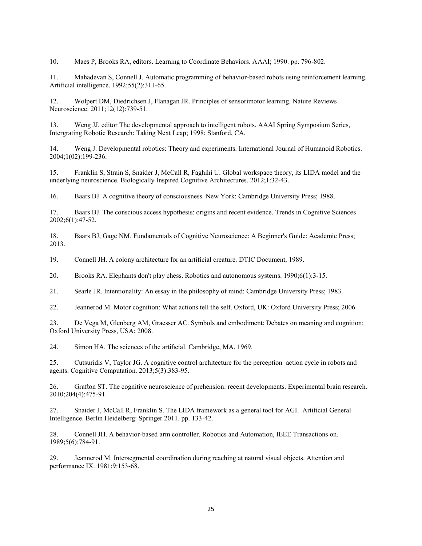<span id="page-24-0"></span>10. Maes P, Brooks RA, editors. Learning to Coordinate Behaviors. AAAI; 1990. pp. 796-802.

<span id="page-24-1"></span>11. Mahadevan S, Connell J. Automatic programming of behavior-based robots using reinforcement learning. Artificial intelligence. 1992;55(2):311-65.

<span id="page-24-2"></span>12. Wolpert DM, Diedrichsen J, Flanagan JR. Principles of sensorimotor learning. Nature Reviews Neuroscience. 2011;12(12):739-51.

<span id="page-24-3"></span>13. Weng JJ, editor The developmental approach to intelligent robots. AAAI Spring Symposium Series, Intergrating Robotic Research: Taking Next Leap; 1998; Stanford, CA.

<span id="page-24-4"></span>14. Weng J. Developmental robotics: Theory and experiments. International Journal of Humanoid Robotics. 2004;1(02):199-236.

<span id="page-24-5"></span>15. Franklin S, Strain S, Snaider J, McCall R, Faghihi U. Global workspace theory, its LIDA model and the underlying neuroscience. Biologically Inspired Cognitive Architectures. 2012;1:32-43.

<span id="page-24-6"></span>16. Baars BJ. A cognitive theory of consciousness. New York: Cambridge University Press; 1988.

17. Baars BJ. The conscious access hypothesis: origins and recent evidence. Trends in Cognitive Sciences 2002;6(1):47-52.

18. Baars BJ, Gage NM. Fundamentals of Cognitive Neuroscience: A Beginner's Guide: Academic Press; 2013.

<span id="page-24-7"></span>19. Connell JH. A colony architecture for an artificial creature. DTIC Document, 1989.

<span id="page-24-8"></span>20. Brooks RA. Elephants don't play chess. Robotics and autonomous systems. 1990;6(1):3-15.

<span id="page-24-9"></span>21. Searle JR. Intentionality: An essay in the philosophy of mind: Cambridge University Press; 1983.

<span id="page-24-10"></span>22. Jeannerod M. Motor cognition: What actions tell the self. Oxford, UK: Oxford University Press; 2006.

<span id="page-24-11"></span>23. De Vega M, Glenberg AM, Graesser AC. Symbols and embodiment: Debates on meaning and cognition: Oxford University Press, USA; 2008.

<span id="page-24-12"></span>24. Simon HA. The sciences of the artificial. Cambridge, MA. 1969.

<span id="page-24-13"></span>25. Cutsuridis V, Taylor JG. A cognitive control architecture for the perception–action cycle in robots and agents. Cognitive Computation. 2013;5(3):383-95.

<span id="page-24-14"></span>26. Grafton ST. The cognitive neuroscience of prehension: recent developments. Experimental brain research. 2010;204(4):475-91.

<span id="page-24-15"></span>27. Snaider J, McCall R, Franklin S. The LIDA framework as a general tool for AGI. Artificial General Intelligence. Berlin Heidelberg: Springer 2011. pp. 133-42.

<span id="page-24-16"></span>28. Connell JH. A behavior-based arm controller. Robotics and Automation, IEEE Transactions on. 1989;5(6):784-91.

<span id="page-24-17"></span>29. Jeannerod M. Intersegmental coordination during reaching at natural visual objects. Attention and performance IX. 1981;9:153-68.